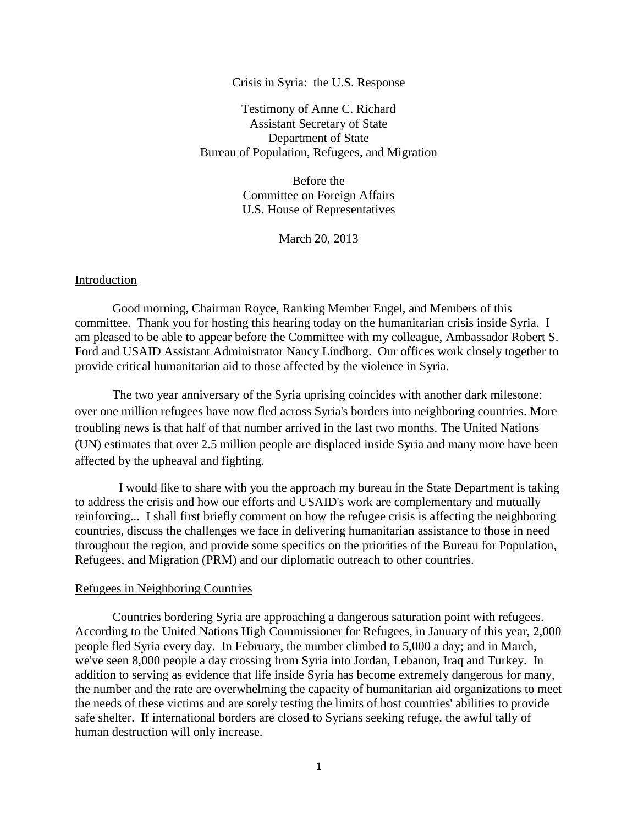## Crisis in Syria: the U.S. Response

Testimony of Anne C. Richard Assistant Secretary of State Department of State Bureau of Population, Refugees, and Migration

> Before the Committee on Foreign Affairs U.S. House of Representatives

> > March 20, 2013

### Introduction

Good morning, Chairman Royce, Ranking Member Engel, and Members of this committee. Thank you for hosting this hearing today on the humanitarian crisis inside Syria. I am pleased to be able to appear before the Committee with my colleague, Ambassador Robert S. Ford and USAID Assistant Administrator Nancy Lindborg. Our offices work closely together to provide critical humanitarian aid to those affected by the violence in Syria.

The two year anniversary of the Syria uprising coincides with another dark milestone: over one million refugees have now fled across Syria's borders into neighboring countries. More troubling news is that half of that number arrived in the last two months. The United Nations (UN) estimates that over 2.5 million people are displaced inside Syria and many more have been affected by the upheaval and fighting.

 I would like to share with you the approach my bureau in the State Department is taking to address the crisis and how our efforts and USAID's work are complementary and mutually reinforcing... I shall first briefly comment on how the refugee crisis is affecting the neighboring countries, discuss the challenges we face in delivering humanitarian assistance to those in need throughout the region, and provide some specifics on the priorities of the Bureau for Population, Refugees, and Migration (PRM) and our diplomatic outreach to other countries.

#### Refugees in Neighboring Countries

Countries bordering Syria are approaching a dangerous saturation point with refugees. According to the United Nations High Commissioner for Refugees, in January of this year, 2,000 people fled Syria every day. In February, the number climbed to 5,000 a day; and in March, we've seen 8,000 people a day crossing from Syria into Jordan, Lebanon, Iraq and Turkey. In addition to serving as evidence that life inside Syria has become extremely dangerous for many, the number and the rate are overwhelming the capacity of humanitarian aid organizations to meet the needs of these victims and are sorely testing the limits of host countries' abilities to provide safe shelter. If international borders are closed to Syrians seeking refuge, the awful tally of human destruction will only increase.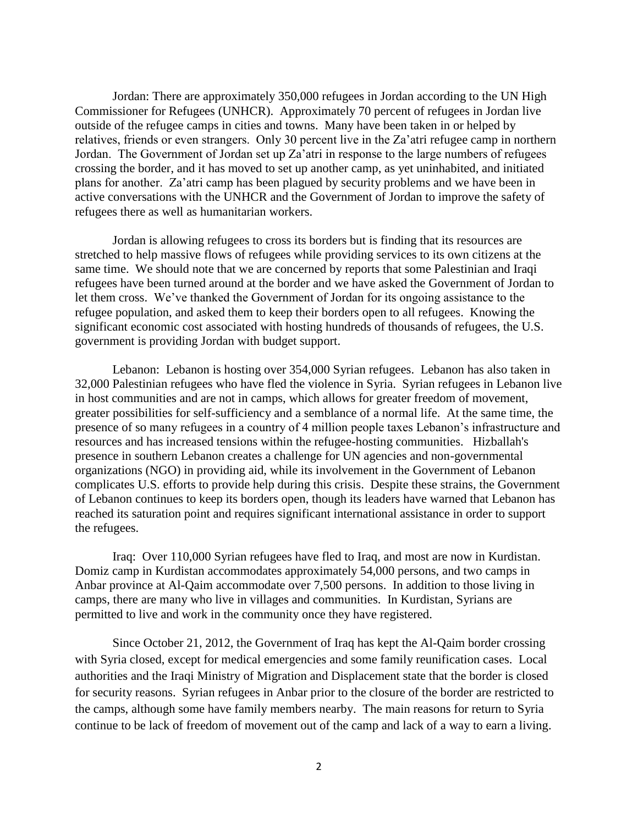Jordan: There are approximately 350,000 refugees in Jordan according to the UN High Commissioner for Refugees (UNHCR). Approximately 70 percent of refugees in Jordan live outside of the refugee camps in cities and towns. Many have been taken in or helped by relatives, friends or even strangers. Only 30 percent live in the Za'atri refugee camp in northern Jordan. The Government of Jordan set up Za'atri in response to the large numbers of refugees crossing the border, and it has moved to set up another camp, as yet uninhabited, and initiated plans for another. Za'atri camp has been plagued by security problems and we have been in active conversations with the UNHCR and the Government of Jordan to improve the safety of refugees there as well as humanitarian workers.

Jordan is allowing refugees to cross its borders but is finding that its resources are stretched to help massive flows of refugees while providing services to its own citizens at the same time. We should note that we are concerned by reports that some Palestinian and Iraqi refugees have been turned around at the border and we have asked the Government of Jordan to let them cross. We've thanked the Government of Jordan for its ongoing assistance to the refugee population, and asked them to keep their borders open to all refugees. Knowing the significant economic cost associated with hosting hundreds of thousands of refugees, the U.S. government is providing Jordan with budget support.

Lebanon: Lebanon is hosting over 354,000 Syrian refugees. Lebanon has also taken in 32,000 Palestinian refugees who have fled the violence in Syria. Syrian refugees in Lebanon live in host communities and are not in camps, which allows for greater freedom of movement, greater possibilities for self-sufficiency and a semblance of a normal life. At the same time, the presence of so many refugees in a country of 4 million people taxes Lebanon's infrastructure and resources and has increased tensions within the refugee-hosting communities. Hizballah's presence in southern Lebanon creates a challenge for UN agencies and non-governmental organizations (NGO) in providing aid, while its involvement in the Government of Lebanon complicates U.S. efforts to provide help during this crisis. Despite these strains, the Government of Lebanon continues to keep its borders open, though its leaders have warned that Lebanon has reached its saturation point and requires significant international assistance in order to support the refugees.

Iraq: Over 110,000 Syrian refugees have fled to Iraq, and most are now in Kurdistan. Domiz camp in Kurdistan accommodates approximately 54,000 persons, and two camps in Anbar province at Al-Qaim accommodate over 7,500 persons. In addition to those living in camps, there are many who live in villages and communities. In Kurdistan, Syrians are permitted to live and work in the community once they have registered.

Since October 21, 2012, the Government of Iraq has kept the Al-Qaim border crossing with Syria closed, except for medical emergencies and some family reunification cases. Local authorities and the Iraqi Ministry of Migration and Displacement state that the border is closed for security reasons. Syrian refugees in Anbar prior to the closure of the border are restricted to the camps, although some have family members nearby. The main reasons for return to Syria continue to be lack of freedom of movement out of the camp and lack of a way to earn a living.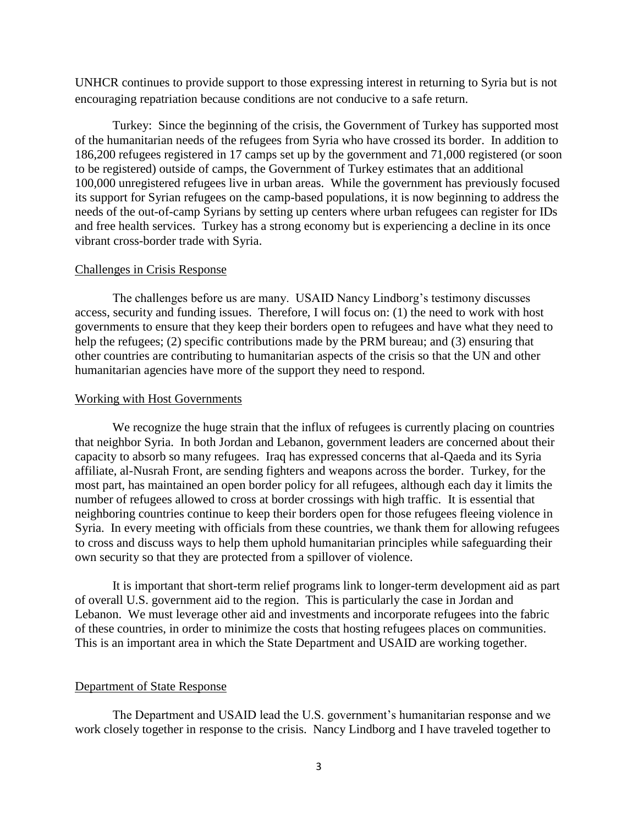UNHCR continues to provide support to those expressing interest in returning to Syria but is not encouraging repatriation because conditions are not conducive to a safe return.

Turkey: Since the beginning of the crisis, the Government of Turkey has supported most of the humanitarian needs of the refugees from Syria who have crossed its border. In addition to 186,200 refugees registered in 17 camps set up by the government and 71,000 registered (or soon to be registered) outside of camps, the Government of Turkey estimates that an additional 100,000 unregistered refugees live in urban areas. While the government has previously focused its support for Syrian refugees on the camp-based populations, it is now beginning to address the needs of the out-of-camp Syrians by setting up centers where urban refugees can register for IDs and free health services. Turkey has a strong economy but is experiencing a decline in its once vibrant cross-border trade with Syria.

# Challenges in Crisis Response

The challenges before us are many. USAID Nancy Lindborg's testimony discusses access, security and funding issues. Therefore, I will focus on: (1) the need to work with host governments to ensure that they keep their borders open to refugees and have what they need to help the refugees; (2) specific contributions made by the PRM bureau; and (3) ensuring that other countries are contributing to humanitarian aspects of the crisis so that the UN and other humanitarian agencies have more of the support they need to respond.

#### Working with Host Governments

We recognize the huge strain that the influx of refugees is currently placing on countries that neighbor Syria. In both Jordan and Lebanon, government leaders are concerned about their capacity to absorb so many refugees. Iraq has expressed concerns that al-Qaeda and its Syria affiliate, al-Nusrah Front, are sending fighters and weapons across the border. Turkey, for the most part, has maintained an open border policy for all refugees, although each day it limits the number of refugees allowed to cross at border crossings with high traffic. It is essential that neighboring countries continue to keep their borders open for those refugees fleeing violence in Syria. In every meeting with officials from these countries, we thank them for allowing refugees to cross and discuss ways to help them uphold humanitarian principles while safeguarding their own security so that they are protected from a spillover of violence.

It is important that short-term relief programs link to longer-term development aid as part of overall U.S. government aid to the region. This is particularly the case in Jordan and Lebanon. We must leverage other aid and investments and incorporate refugees into the fabric of these countries, in order to minimize the costs that hosting refugees places on communities. This is an important area in which the State Department and USAID are working together.

# Department of State Response

The Department and USAID lead the U.S. government's humanitarian response and we work closely together in response to the crisis. Nancy Lindborg and I have traveled together to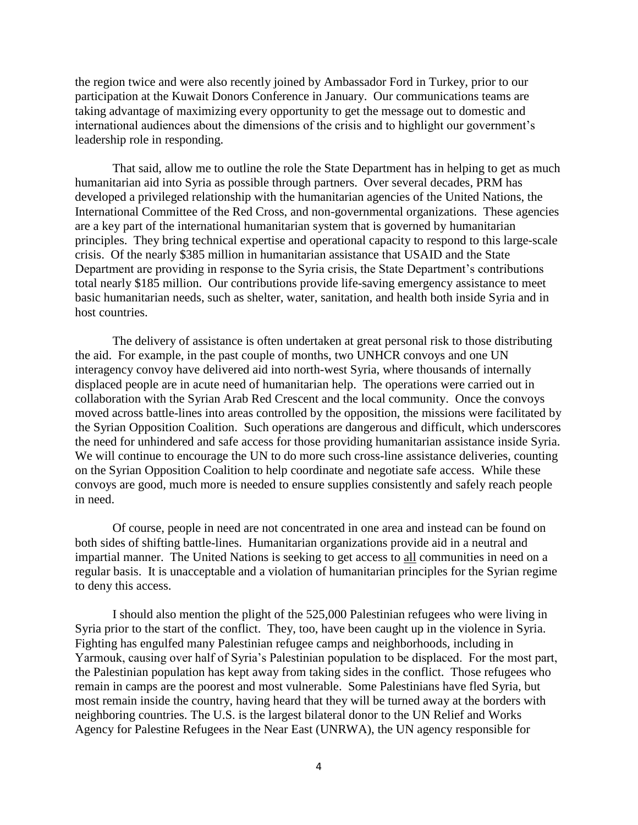the region twice and were also recently joined by Ambassador Ford in Turkey, prior to our participation at the Kuwait Donors Conference in January. Our communications teams are taking advantage of maximizing every opportunity to get the message out to domestic and international audiences about the dimensions of the crisis and to highlight our government's leadership role in responding.

That said, allow me to outline the role the State Department has in helping to get as much humanitarian aid into Syria as possible through partners. Over several decades, PRM has developed a privileged relationship with the humanitarian agencies of the United Nations, the International Committee of the Red Cross, and non-governmental organizations. These agencies are a key part of the international humanitarian system that is governed by humanitarian principles. They bring technical expertise and operational capacity to respond to this large-scale crisis. Of the nearly \$385 million in humanitarian assistance that USAID and the State Department are providing in response to the Syria crisis, the State Department's contributions total nearly \$185 million. Our contributions provide life-saving emergency assistance to meet basic humanitarian needs, such as shelter, water, sanitation, and health both inside Syria and in host countries.

The delivery of assistance is often undertaken at great personal risk to those distributing the aid. For example, in the past couple of months, two UNHCR convoys and one UN interagency convoy have delivered aid into north-west Syria, where thousands of internally displaced people are in acute need of humanitarian help. The operations were carried out in collaboration with the Syrian Arab Red Crescent and the local community. Once the convoys moved across battle-lines into areas controlled by the opposition, the missions were facilitated by the Syrian Opposition Coalition. Such operations are dangerous and difficult, which underscores the need for unhindered and safe access for those providing humanitarian assistance inside Syria. We will continue to encourage the UN to do more such cross-line assistance deliveries, counting on the Syrian Opposition Coalition to help coordinate and negotiate safe access. While these convoys are good, much more is needed to ensure supplies consistently and safely reach people in need.

Of course, people in need are not concentrated in one area and instead can be found on both sides of shifting battle-lines. Humanitarian organizations provide aid in a neutral and impartial manner. The United Nations is seeking to get access to all communities in need on a regular basis. It is unacceptable and a violation of humanitarian principles for the Syrian regime to deny this access.

I should also mention the plight of the 525,000 Palestinian refugees who were living in Syria prior to the start of the conflict. They, too, have been caught up in the violence in Syria. Fighting has engulfed many Palestinian refugee camps and neighborhoods, including in Yarmouk, causing over half of Syria's Palestinian population to be displaced. For the most part, the Palestinian population has kept away from taking sides in the conflict. Those refugees who remain in camps are the poorest and most vulnerable. Some Palestinians have fled Syria, but most remain inside the country, having heard that they will be turned away at the borders with neighboring countries. The U.S. is the largest bilateral donor to the UN Relief and Works Agency for Palestine Refugees in the Near East (UNRWA), the UN agency responsible for